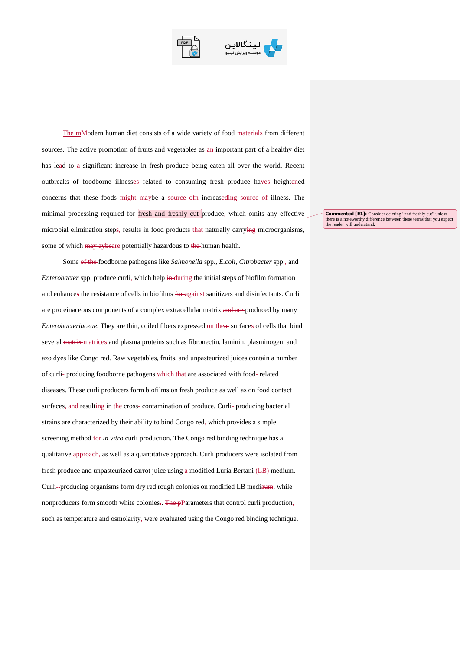



The mModern human diet consists of a wide variety of food materials from different sources. The active promotion of fruits and vegetables as an important part of a healthy diet has lead to a significant increase in fresh produce being eaten all over the world. Recent outbreaks of foodborne illnesses related to consuming fresh produce haves heightened concerns that these foods might maybe a source of in increaseding source of illness. The minimal processing required for fresh and freshly cut produce, which omits any effective microbial elimination steps, results in food products that naturally carrying microorganisms, some of which may aybeare potentially hazardous to the human health.

Some of the foodborne pathogens like *Salmonella* spp., *E.coli*, *Citrobacter* spp., and *Enterobacter* spp. produce curli, which help in during the initial steps of biofilm formation and enhances the resistance of cells in biofilms for against sanitizers and disinfectants. Curli are proteinaceous components of a complex extracellular matrix and are-produced by many *Enterobacteriaceae*. They are thin, coiled fibers expressed on theat surfaces of cells that bind several matrix matrices and plasma proteins such as fibronectin, laminin, plasminogen, and azo dyes like Congo red. Raw vegetables, fruits, and unpasteurized juices contain a number of curli--producing foodborne pathogens which that are associated with food-related diseases. These curli producers form biofilms on fresh produce as well as on food contact surfaces, and resulting in the cross-contamination of produce. Curli--producing bacterial strains are characterized by their ability to bind Congo red, which provides a simple screening method for *in vitro* curli production. The Congo red binding technique has a qualitative approach, as well as a quantitative approach. Curli producers were isolated from fresh produce and unpasteurized carrot juice using a modified Luria Bertani (LB) medium. Curli--producing organisms form dry red rough colonies on modified LB mediaum, while nonproducers form smooth white colonies.. The pParameters that control curli production, such as temperature and osmolarity, were evaluated using the Congo red binding technique.

**Commented [E1]:** Consider deleting "and freshly cut" unless there is a noteworthy difference between these terms that you expect the reader will understand.